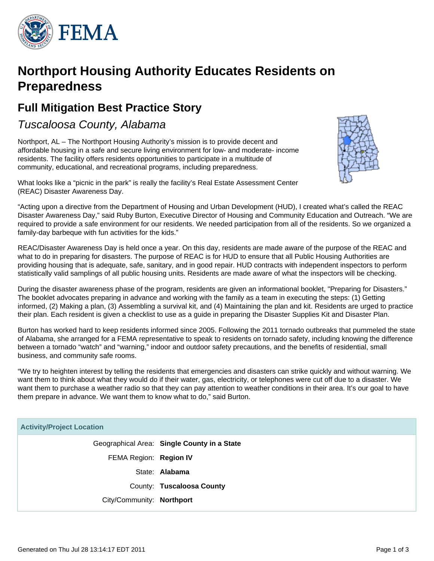

## **Northport Housing Authority Educates Residents on Preparedness**

## **Full Mitigation Best Practice Story**

Tuscaloosa County, Alabama

Northport, AL – The Northport Housing Authority's mission is to provide decent and affordable housing in a safe and secure living environment for low- and moderate- income residents. The facility offers residents opportunities to participate in a multitude of community, educational, and recreational programs, including preparedness.



What looks like a "picnic in the park" is really the facility's Real Estate Assessment Center (REAC) Disaster Awareness Day.

"Acting upon a directive from the Department of Housing and Urban Development (HUD), I created what's called the REAC Disaster Awareness Day," said Ruby Burton, Executive Director of Housing and Community Education and Outreach. "We are required to provide a safe environment for our residents. We needed participation from all of the residents. So we organized a family-day barbeque with fun activities for the kids."

REAC/Disaster Awareness Day is held once a year. On this day, residents are made aware of the purpose of the REAC and what to do in preparing for disasters. The purpose of REAC is for HUD to ensure that all Public Housing Authorities are providing housing that is adequate, safe, sanitary, and in good repair. HUD contracts with independent inspectors to perform statistically valid samplings of all public housing units. Residents are made aware of what the inspectors will be checking.

During the disaster awareness phase of the program, residents are given an informational booklet, "Preparing for Disasters." The booklet advocates preparing in advance and working with the family as a team in executing the steps: (1) Getting informed, (2) Making a plan, (3) Assembling a survival kit, and (4) Maintaining the plan and kit. Residents are urged to practice their plan. Each resident is given a checklist to use as a guide in preparing the Disaster Supplies Kit and Disaster Plan.

Burton has worked hard to keep residents informed since 2005. Following the 2011 tornado outbreaks that pummeled the state of Alabama, she arranged for a FEMA representative to speak to residents on tornado safety, including knowing the difference between a tornado "watch" and "warning," indoor and outdoor safety precautions, and the benefits of residential, small business, and community safe rooms.

"We try to heighten interest by telling the residents that emergencies and disasters can strike quickly and without warning. We want them to think about what they would do if their water, gas, electricity, or telephones were cut off due to a disaster. We want them to purchase a weather radio so that they can pay attention to weather conditions in their area. It's our goal to have them prepare in advance. We want them to know what to do," said Burton.

## **Activity/Project Location**

Geographical Area: **Single County in a State** FEMA Region: **Region IV** State: **Alabama** County: **Tuscaloosa County** City/Community: **Northport**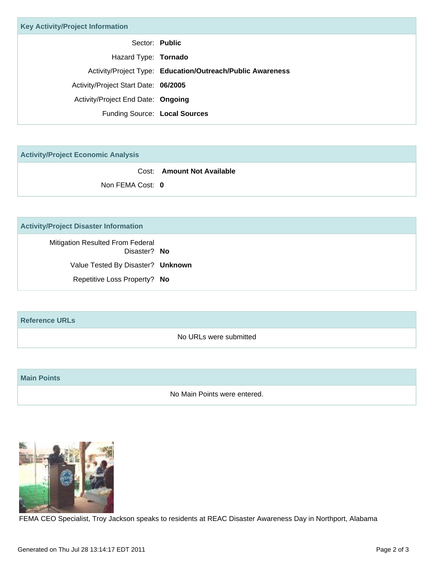| <b>Key Activity/Project Information</b> |                                                            |
|-----------------------------------------|------------------------------------------------------------|
|                                         | Sector: Public                                             |
| Hazard Type: Tornado                    |                                                            |
|                                         | Activity/Project Type: Education/Outreach/Public Awareness |
| Activity/Project Start Date: 06/2005    |                                                            |
| Activity/Project End Date: Ongoing      |                                                            |
| Funding Source: Local Sources           |                                                            |

**Activity/Project Economic Analysis**

Cost: **Amount Not Available** Non FEMA Cost: **0**

**Activity/Project Disaster Information**

Mitigation Resulted From Federal Disaster? **No** Value Tested By Disaster? **Unknown** Repetitive Loss Property? **No**

**Reference URLs**

No URLs were submitted

**Main Points**

No Main Points were entered.



FEMA CEO Specialist, Troy Jackson speaks to residents at REAC Disaster Awareness Day in Northport, Alabama